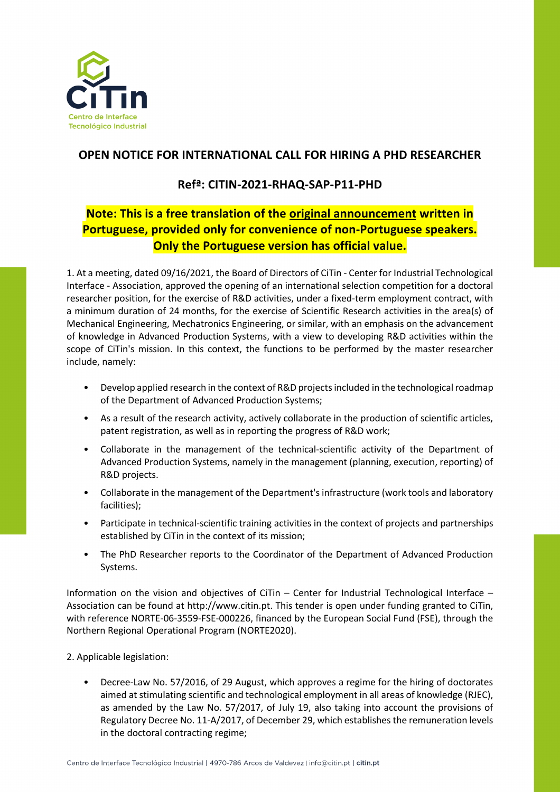

## **OPEN NOTICE FOR INTERNATIONAL CALL FOR HIRING A PHD RESEARCHER**

## **Refª: CITIN-2021-RHAQ-SAP-P11-PHD**

## **Note: This is a free translation of the original announcement written in Portuguese, provided only for convenience of non-Portuguese speakers. Only the Portuguese version has official value.**

1. At a meeting, dated 09/16/2021, the Board of Directors of CiTin - Center for Industrial Technological Interface - Association, approved the opening of an international selection competition for a doctoral researcher position, for the exercise of R&D activities, under a fixed-term employment contract, with a minimum duration of 24 months, for the exercise of Scientific Research activities in the area(s) of Mechanical Engineering, Mechatronics Engineering, or similar, with an emphasis on the advancement of knowledge in Advanced Production Systems, with a view to developing R&D activities within the scope of CiTin's mission. In this context, the functions to be performed by the master researcher include, namely:

- Develop applied research in the context of R&D projects included in the technological roadmap of the Department of Advanced Production Systems;
- As a result of the research activity, actively collaborate in the production of scientific articles, patent registration, as well as in reporting the progress of R&D work;
- Collaborate in the management of the technical-scientific activity of the Department of Advanced Production Systems, namely in the management (planning, execution, reporting) of R&D projects.
- Collaborate in the management of the Department's infrastructure (work tools and laboratory facilities);
- Participate in technical-scientific training activities in the context of projects and partnerships established by CiTin in the context of its mission;
- The PhD Researcher reports to the Coordinator of the Department of Advanced Production Systems.

Information on the vision and objectives of CiTin – Center for Industrial Technological Interface – Association can be found at http://www.citin.pt. This tender is open under funding granted to CiTin, with reference NORTE-06-3559-FSE-000226, financed by the European Social Fund (FSE), through the Northern Regional Operational Program (NORTE2020).

2. Applicable legislation:

• Decree-Law No. 57/2016, of 29 August, which approves a regime for the hiring of doctorates aimed at stimulating scientific and technological employment in all areas of knowledge (RJEC), as amended by the Law No. 57/2017, of July 19, also taking into account the provisions of Regulatory Decree No. 11-A/2017, of December 29, which establishes the remuneration levels in the doctoral contracting regime;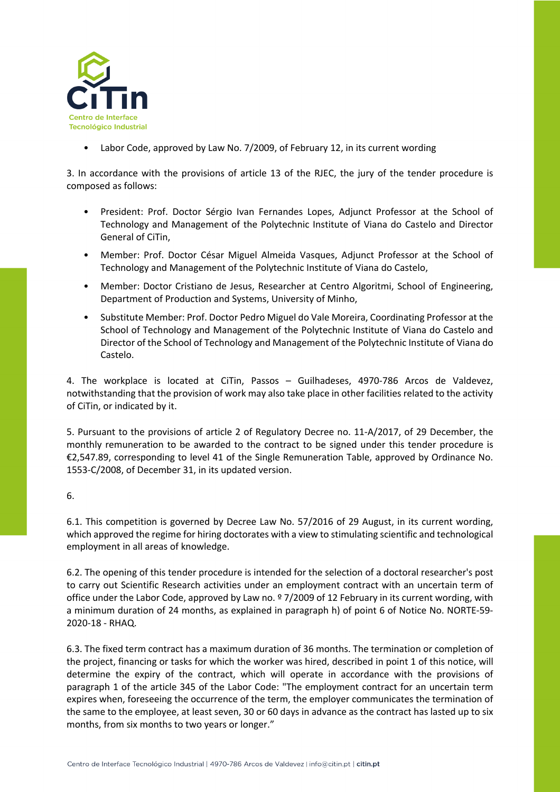

• Labor Code, approved by Law No. 7/2009, of February 12, in its current wording

3. In accordance with the provisions of article 13 of the RJEC, the jury of the tender procedure is composed as follows:

- President: Prof. Doctor Sérgio Ivan Fernandes Lopes, Adjunct Professor at the School of Technology and Management of the Polytechnic Institute of Viana do Castelo and Director General of CiTin,
- Member: Prof. Doctor César Miguel Almeida Vasques, Adjunct Professor at the School of Technology and Management of the Polytechnic Institute of Viana do Castelo,
- Member: Doctor Cristiano de Jesus, Researcher at Centro Algoritmi, School of Engineering, Department of Production and Systems, University of Minho,
- Substitute Member: Prof. Doctor Pedro Miguel do Vale Moreira, Coordinating Professor at the School of Technology and Management of the Polytechnic Institute of Viana do Castelo and Director of the School of Technology and Management of the Polytechnic Institute of Viana do Castelo.

4. The workplace is located at CiTin, Passos – Guilhadeses, 4970-786 Arcos de Valdevez, notwithstanding that the provision of work may also take place in other facilities related to the activity of CiTin, or indicated by it.

5. Pursuant to the provisions of article 2 of Regulatory Decree no. 11-A/2017, of 29 December, the monthly remuneration to be awarded to the contract to be signed under this tender procedure is €2,547.89, corresponding to level 41 of the Single Remuneration Table, approved by Ordinance No. 1553-C/2008, of December 31, in its updated version.

6.

6.1. This competition is governed by Decree Law No. 57/2016 of 29 August, in its current wording, which approved the regime for hiring doctorates with a view to stimulating scientific and technological employment in all areas of knowledge.

6.2. The opening of this tender procedure is intended for the selection of a doctoral researcher's post to carry out Scientific Research activities under an employment contract with an uncertain term of office under the Labor Code, approved by Law no. º 7/2009 of 12 February in its current wording, with a minimum duration of 24 months, as explained in paragraph h) of point 6 of Notice No. NORTE-59- 2020-18 - RHAQ.

6.3. The fixed term contract has a maximum duration of 36 months. The termination or completion of the project, financing or tasks for which the worker was hired, described in point 1 of this notice, will determine the expiry of the contract, which will operate in accordance with the provisions of paragraph 1 of the article 345 of the Labor Code: "The employment contract for an uncertain term expires when, foreseeing the occurrence of the term, the employer communicates the termination of the same to the employee, at least seven, 30 or 60 days in advance as the contract has lasted up to six months, from six months to two years or longer."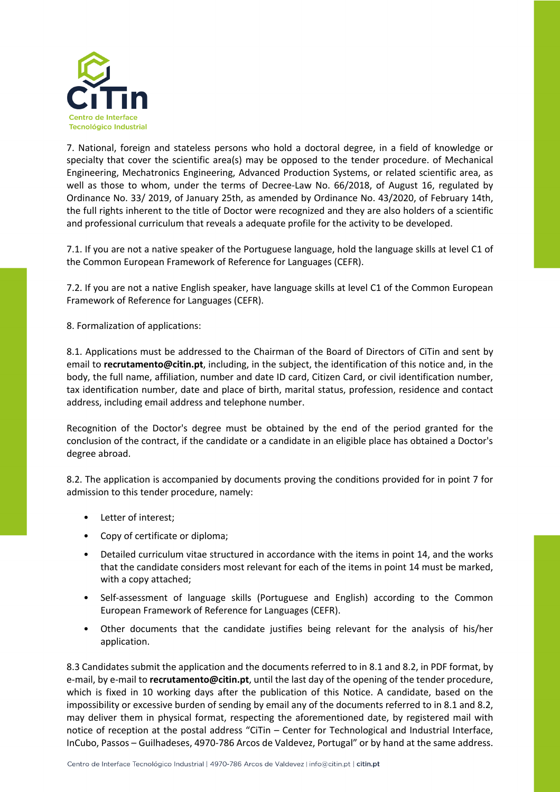

7. National, foreign and stateless persons who hold a doctoral degree, in a field of knowledge or specialty that cover the scientific area(s) may be opposed to the tender procedure. of Mechanical Engineering, Mechatronics Engineering, Advanced Production Systems, or related scientific area, as well as those to whom, under the terms of Decree-Law No. 66/2018, of August 16, regulated by Ordinance No. 33/ 2019, of January 25th, as amended by Ordinance No. 43/2020, of February 14th, the full rights inherent to the title of Doctor were recognized and they are also holders of a scientific and professional curriculum that reveals a adequate profile for the activity to be developed.

7.1. If you are not a native speaker of the Portuguese language, hold the language skills at level C1 of the Common European Framework of Reference for Languages (CEFR).

7.2. If you are not a native English speaker, have language skills at level C1 of the Common European Framework of Reference for Languages (CEFR).

8. Formalization of applications:

8.1. Applications must be addressed to the Chairman of the Board of Directors of CiTin and sent by email to **recrutamento@citin.pt**, including, in the subject, the identification of this notice and, in the body, the full name, affiliation, number and date ID card, Citizen Card, or civil identification number, tax identification number, date and place of birth, marital status, profession, residence and contact address, including email address and telephone number.

Recognition of the Doctor's degree must be obtained by the end of the period granted for the conclusion of the contract, if the candidate or a candidate in an eligible place has obtained a Doctor's degree abroad.

8.2. The application is accompanied by documents proving the conditions provided for in point 7 for admission to this tender procedure, namely:

- Letter of interest;
- Copy of certificate or diploma;
- Detailed curriculum vitae structured in accordance with the items in point 14, and the works that the candidate considers most relevant for each of the items in point 14 must be marked, with a copy attached;
- Self-assessment of language skills (Portuguese and English) according to the Common European Framework of Reference for Languages (CEFR).
- Other documents that the candidate justifies being relevant for the analysis of his/her application.

8.3 Candidates submit the application and the documents referred to in 8.1 and 8.2, in PDF format, by e-mail, by e-mail to **recrutamento@citin.pt**, until the last day of the opening of the tender procedure, which is fixed in 10 working days after the publication of this Notice. A candidate, based on the impossibility or excessive burden of sending by email any of the documents referred to in 8.1 and 8.2, may deliver them in physical format, respecting the aforementioned date, by registered mail with notice of reception at the postal address "CiTin – Center for Technological and Industrial Interface, InCubo, Passos – Guilhadeses, 4970-786 Arcos de Valdevez, Portugal" or by hand at the same address.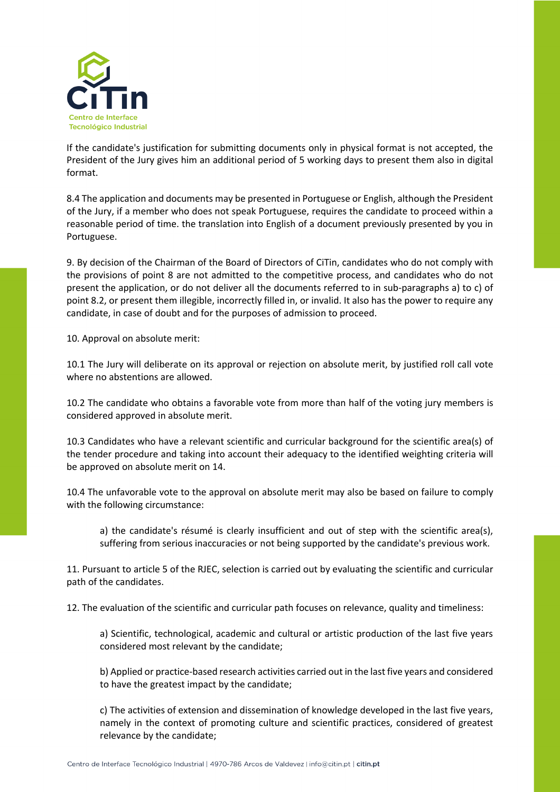

If the candidate's justification for submitting documents only in physical format is not accepted, the President of the Jury gives him an additional period of 5 working days to present them also in digital format.

8.4 The application and documents may be presented in Portuguese or English, although the President of the Jury, if a member who does not speak Portuguese, requires the candidate to proceed within a reasonable period of time. the translation into English of a document previously presented by you in Portuguese.

9. By decision of the Chairman of the Board of Directors of CiTin, candidates who do not comply with the provisions of point 8 are not admitted to the competitive process, and candidates who do not present the application, or do not deliver all the documents referred to in sub-paragraphs a) to c) of point 8.2, or present them illegible, incorrectly filled in, or invalid. It also has the power to require any candidate, in case of doubt and for the purposes of admission to proceed.

10. Approval on absolute merit:

10.1 The Jury will deliberate on its approval or rejection on absolute merit, by justified roll call vote where no abstentions are allowed.

10.2 The candidate who obtains a favorable vote from more than half of the voting jury members is considered approved in absolute merit.

10.3 Candidates who have a relevant scientific and curricular background for the scientific area(s) of the tender procedure and taking into account their adequacy to the identified weighting criteria will be approved on absolute merit on 14.

10.4 The unfavorable vote to the approval on absolute merit may also be based on failure to comply with the following circumstance:

a) the candidate's résumé is clearly insufficient and out of step with the scientific area(s), suffering from serious inaccuracies or not being supported by the candidate's previous work.

11. Pursuant to article 5 of the RJEC, selection is carried out by evaluating the scientific and curricular path of the candidates.

12. The evaluation of the scientific and curricular path focuses on relevance, quality and timeliness:

a) Scientific, technological, academic and cultural or artistic production of the last five years considered most relevant by the candidate;

b) Applied or practice-based research activities carried out in the last five years and considered to have the greatest impact by the candidate;

c) The activities of extension and dissemination of knowledge developed in the last five years, namely in the context of promoting culture and scientific practices, considered of greatest relevance by the candidate;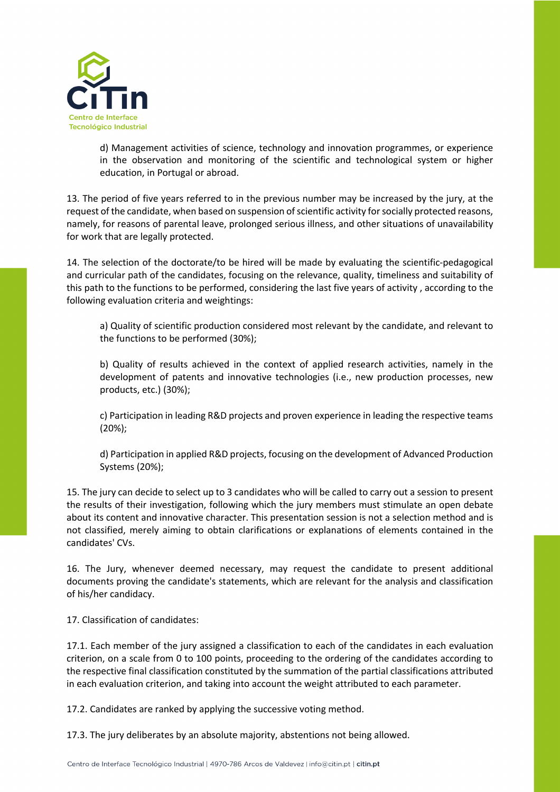

d) Management activities of science, technology and innovation programmes, or experience in the observation and monitoring of the scientific and technological system or higher education, in Portugal or abroad.

13. The period of five years referred to in the previous number may be increased by the jury, at the request of the candidate, when based on suspension of scientific activity for socially protected reasons, namely, for reasons of parental leave, prolonged serious illness, and other situations of unavailability for work that are legally protected.

14. The selection of the doctorate/to be hired will be made by evaluating the scientific-pedagogical and curricular path of the candidates, focusing on the relevance, quality, timeliness and suitability of this path to the functions to be performed, considering the last five years of activity , according to the following evaluation criteria and weightings:

a) Quality of scientific production considered most relevant by the candidate, and relevant to the functions to be performed (30%);

b) Quality of results achieved in the context of applied research activities, namely in the development of patents and innovative technologies (i.e., new production processes, new products, etc.) (30%);

c) Participation in leading R&D projects and proven experience in leading the respective teams (20%);

d) Participation in applied R&D projects, focusing on the development of Advanced Production Systems (20%);

15. The jury can decide to select up to 3 candidates who will be called to carry out a session to present the results of their investigation, following which the jury members must stimulate an open debate about its content and innovative character. This presentation session is not a selection method and is not classified, merely aiming to obtain clarifications or explanations of elements contained in the candidates' CVs.

16. The Jury, whenever deemed necessary, may request the candidate to present additional documents proving the candidate's statements, which are relevant for the analysis and classification of his/her candidacy.

17. Classification of candidates:

17.1. Each member of the jury assigned a classification to each of the candidates in each evaluation criterion, on a scale from 0 to 100 points, proceeding to the ordering of the candidates according to the respective final classification constituted by the summation of the partial classifications attributed in each evaluation criterion, and taking into account the weight attributed to each parameter.

17.2. Candidates are ranked by applying the successive voting method.

17.3. The jury deliberates by an absolute majority, abstentions not being allowed.